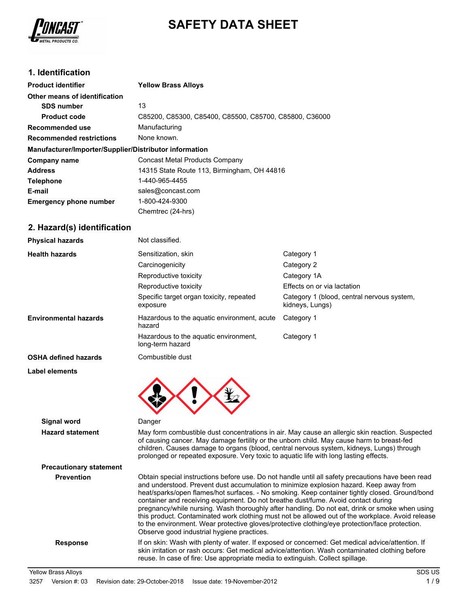

# **SAFETY DATA SHEET**

## **1. Identification**

| <b>Product identifier</b>                              | <b>Yellow Brass Alloys</b>                             |
|--------------------------------------------------------|--------------------------------------------------------|
| Other means of identification                          |                                                        |
| <b>SDS number</b>                                      | 13                                                     |
| <b>Product code</b>                                    | C85200, C85300, C85400, C85500, C85700, C85800, C36000 |
| Recommended use                                        | Manufacturing                                          |
| <b>Recommended restrictions</b>                        | None known.                                            |
| Manufacturer/Importer/Supplier/Distributor information |                                                        |
| Company name                                           | Concast Metal Products Company                         |
| <b>Address</b>                                         | 14315 State Route 113, Birmingham, OH 44816            |
| <b>Telephone</b>                                       | 1-440-965-4455                                         |
| E-mail                                                 | sales@concast.com                                      |
| <b>Emergency phone number</b>                          | 1-800-424-9300                                         |
|                                                        | Chemtrec (24-hrs)                                      |

## **2. Hazard(s) identification**

| <b>Physical hazards</b>      | Not classified.                                           |                                                               |
|------------------------------|-----------------------------------------------------------|---------------------------------------------------------------|
| <b>Health hazards</b>        | Sensitization, skin                                       | Category 1                                                    |
|                              | Carcinogenicity                                           | Category 2                                                    |
|                              | Reproductive toxicity                                     | Category 1A                                                   |
|                              | Reproductive toxicity                                     | Effects on or via lactation                                   |
|                              | Specific target organ toxicity, repeated<br>exposure      | Category 1 (blood, central nervous system,<br>kidneys, Lungs) |
| <b>Environmental hazards</b> | Hazardous to the aquatic environment, acute<br>hazard     | Category 1                                                    |
|                              | Hazardous to the aquatic environment,<br>long-term hazard | Category 1                                                    |
| <b>OSHA defined hazards</b>  | Combustible dust                                          |                                                               |
| Label elements               |                                                           |                                                               |
|                              |                                                           |                                                               |

**Signal word** Danger **Hazard statement** May form combustible dust concentrations in air. May cause an allergic skin reaction. Suspected of causing cancer. May damage fertility or the unborn child. May cause harm to breast-fed children. Causes damage to organs (blood, central nervous system, kidneys, Lungs) through prolonged or repeated exposure. Very toxic to aquatic life with long lasting effects. **Precautionary statement Prevention** Obtain special instructions before use. Do not handle until all safety precautions have been read and understood. Prevent dust accumulation to minimize explosion hazard. Keep away from heat/sparks/open flames/hot surfaces. - No smoking. Keep container tightly closed. Ground/bond container and receiving equipment. Do not breathe dust/fume. Avoid contact during pregnancy/while nursing. Wash thoroughly after handling. Do not eat, drink or smoke when using this product. Contaminated work clothing must not be allowed out of the workplace. Avoid release to the environment. Wear protective gloves/protective clothing/eye protection/face protection. Observe good industrial hygiene practices. Response If on skin: Wash with plenty of water. If exposed or concerned: Get medical advice/attention. If skin irritation or rash occurs: Get medical advice/attention. Wash contaminated clothing before reuse. In case of fire: Use appropriate media to extinguish. Collect spillage.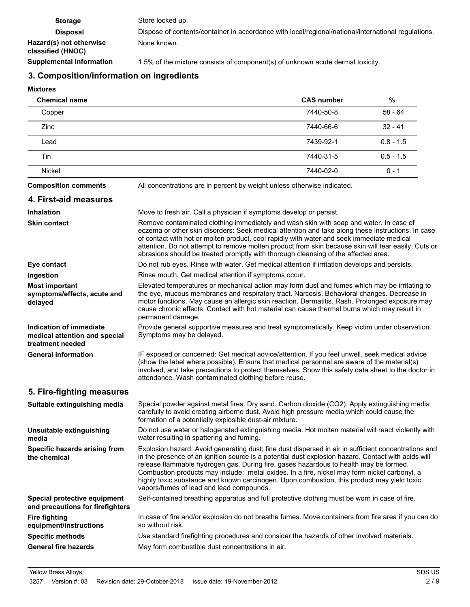| <b>Storage</b>                               | Store locked up.                                                                                    |
|----------------------------------------------|-----------------------------------------------------------------------------------------------------|
| <b>Disposal</b>                              | Dispose of contents/container in accordance with local/regional/national/international regulations. |
| Hazard(s) not otherwise<br>classified (HNOC) | None known.                                                                                         |
| <b>Supplemental information</b>              | 1.5% of the mixture consists of component(s) of unknown acute dermal toxicity.                      |

## **3. Composition/information on ingredients**

## **Mixtures**

| <b>Chemical name</b> | <b>CAS number</b> | %           |
|----------------------|-------------------|-------------|
| Copper               | 7440-50-8         | 58 - 64     |
| Zinc                 | 7440-66-6         | $32 - 41$   |
| Lead                 | 7439-92-1         | $0.8 - 1.5$ |
| Tin                  | 7440-31-5         | $0.5 - 1.5$ |
| <b>Nickel</b>        | 7440-02-0         | $0 - 1$     |
|                      |                   |             |

**Composition comments** All concentrations are in percent by weight unless otherwise indicated.

## **4. First-aid measures**

| <b>Inhalation</b>                                                            | Move to fresh air. Call a physician if symptoms develop or persist.                                                                                                                                                                                                                                                                                                                                                                                                                                                                            |
|------------------------------------------------------------------------------|------------------------------------------------------------------------------------------------------------------------------------------------------------------------------------------------------------------------------------------------------------------------------------------------------------------------------------------------------------------------------------------------------------------------------------------------------------------------------------------------------------------------------------------------|
| <b>Skin contact</b>                                                          | Remove contaminated clothing immediately and wash skin with soap and water. In case of<br>eczema or other skin disorders: Seek medical attention and take along these instructions. In case<br>of contact with hot or molten product, cool rapidly with water and seek immediate medical<br>attention. Do not attempt to remove molten product from skin because skin will tear easily. Cuts or<br>abrasions should be treated promptly with thorough cleansing of the affected area.                                                          |
| Eye contact                                                                  | Do not rub eyes. Rinse with water. Get medical attention if irritation develops and persists.                                                                                                                                                                                                                                                                                                                                                                                                                                                  |
| Ingestion                                                                    | Rinse mouth. Get medical attention if symptoms occur.                                                                                                                                                                                                                                                                                                                                                                                                                                                                                          |
| <b>Most important</b><br>symptoms/effects, acute and<br>delayed              | Elevated temperatures or mechanical action may form dust and fumes which may be irritating to<br>the eye, mucous membranes and respiratory tract. Narcosis. Behavioral changes. Decrease in<br>motor functions. May cause an allergic skin reaction. Dermatitis. Rash. Prolonged exposure may<br>cause chronic effects. Contact with hot material can cause thermal burns which may result in<br>permanent damage.                                                                                                                             |
| Indication of immediate<br>medical attention and special<br>treatment needed | Provide general supportive measures and treat symptomatically. Keep victim under observation.<br>Symptoms may be delayed.                                                                                                                                                                                                                                                                                                                                                                                                                      |
| <b>General information</b>                                                   | IF exposed or concerned: Get medical advice/attention. If you feel unwell, seek medical advice<br>(show the label where possible). Ensure that medical personnel are aware of the material(s)<br>involved, and take precautions to protect themselves. Show this safety data sheet to the doctor in<br>attendance. Wash contaminated clothing before reuse.                                                                                                                                                                                    |
| 5. Fire-fighting measures                                                    |                                                                                                                                                                                                                                                                                                                                                                                                                                                                                                                                                |
| Suitable extinguishing media                                                 | Special powder against metal fires. Dry sand. Carbon dioxide (CO2). Apply extinguishing media<br>carefully to avoid creating airborne dust. Avoid high pressure media which could cause the<br>formation of a potentially explosible dust-air mixture.                                                                                                                                                                                                                                                                                         |
| Unsuitable extinguishing<br>media                                            | Do not use water or halogenated extinguishing media. Hot molten material will react violently with<br>water resulting in spattering and fuming.                                                                                                                                                                                                                                                                                                                                                                                                |
| Specific hazards arising from<br>the chemical                                | Explosion hazard: Avoid generating dust; fine dust dispersed in air in sufficient concentrations and<br>in the presence of an ignition source is a potential dust explosion hazard. Contact with acids will<br>release flammable hydrogen gas. During fire, gases hazardous to health may be formed.<br>Combustion products may include: metal oxides. In a fire, nickel may form nickel carbonyl, a<br>highly toxic substance and known carcinogen. Upon combustion, this product may yield toxic<br>vapors/fumes of lead and lead compounds. |
| Special protective equipment<br>and precautions for firefighters             | Self-contained breathing apparatus and full protective clothing must be worn in case of fire.                                                                                                                                                                                                                                                                                                                                                                                                                                                  |
| <b>Fire fighting</b><br>equipment/instructions                               | In case of fire and/or explosion do not breathe fumes. Move containers from fire area if you can do<br>so without risk.                                                                                                                                                                                                                                                                                                                                                                                                                        |
| <b>Specific methods</b>                                                      | Use standard firefighting procedures and consider the hazards of other involved materials.                                                                                                                                                                                                                                                                                                                                                                                                                                                     |
| <b>General fire hazards</b>                                                  | May form combustible dust concentrations in air.                                                                                                                                                                                                                                                                                                                                                                                                                                                                                               |
|                                                                              |                                                                                                                                                                                                                                                                                                                                                                                                                                                                                                                                                |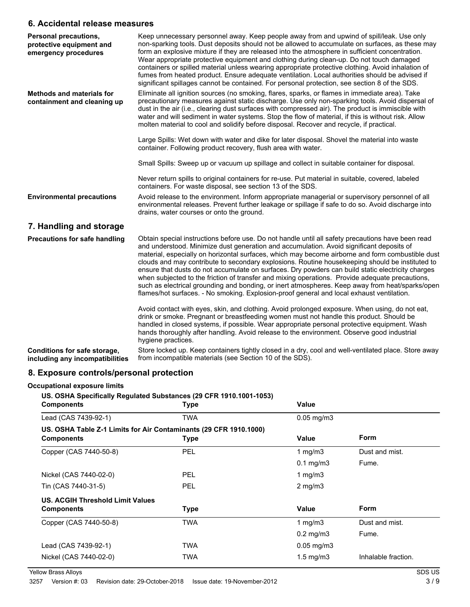## **6. Accidental release measures**

| <b>Personal precautions,</b><br>protective equipment and<br>emergency procedures | Keep unnecessary personnel away. Keep people away from and upwind of spill/leak. Use only<br>non-sparking tools. Dust deposits should not be allowed to accumulate on surfaces, as these may<br>form an explosive mixture if they are released into the atmosphere in sufficient concentration.<br>Wear appropriate protective equipment and clothing during clean-up. Do not touch damaged                                                                                                                                                                                                                                                                                                                                                                                                                  |
|----------------------------------------------------------------------------------|--------------------------------------------------------------------------------------------------------------------------------------------------------------------------------------------------------------------------------------------------------------------------------------------------------------------------------------------------------------------------------------------------------------------------------------------------------------------------------------------------------------------------------------------------------------------------------------------------------------------------------------------------------------------------------------------------------------------------------------------------------------------------------------------------------------|
|                                                                                  | containers or spilled material unless wearing appropriate protective clothing. Avoid inhalation of<br>fumes from heated product. Ensure adequate ventilation. Local authorities should be advised if<br>significant spillages cannot be contained. For personal protection, see section 8 of the SDS.                                                                                                                                                                                                                                                                                                                                                                                                                                                                                                        |
| <b>Methods and materials for</b><br>containment and cleaning up                  | Eliminate all ignition sources (no smoking, flares, sparks, or flames in immediate area). Take<br>precautionary measures against static discharge. Use only non-sparking tools. Avoid dispersal of<br>dust in the air (i.e., clearing dust surfaces with compressed air). The product is immiscible with<br>water and will sediment in water systems. Stop the flow of material, if this is without risk. Allow<br>molten material to cool and solidify before disposal. Recover and recycle, if practical.                                                                                                                                                                                                                                                                                                  |
|                                                                                  | Large Spills: Wet down with water and dike for later disposal. Shovel the material into waste<br>container. Following product recovery, flush area with water.                                                                                                                                                                                                                                                                                                                                                                                                                                                                                                                                                                                                                                               |
|                                                                                  | Small Spills: Sweep up or vacuum up spillage and collect in suitable container for disposal.                                                                                                                                                                                                                                                                                                                                                                                                                                                                                                                                                                                                                                                                                                                 |
|                                                                                  | Never return spills to original containers for re-use. Put material in suitable, covered, labeled<br>containers. For waste disposal, see section 13 of the SDS.                                                                                                                                                                                                                                                                                                                                                                                                                                                                                                                                                                                                                                              |
| <b>Environmental precautions</b>                                                 | Avoid release to the environment. Inform appropriate managerial or supervisory personnel of all<br>environmental releases. Prevent further leakage or spillage if safe to do so. Avoid discharge into<br>drains, water courses or onto the ground.                                                                                                                                                                                                                                                                                                                                                                                                                                                                                                                                                           |
| 7. Handling and storage                                                          |                                                                                                                                                                                                                                                                                                                                                                                                                                                                                                                                                                                                                                                                                                                                                                                                              |
| Precautions for safe handling                                                    | Obtain special instructions before use. Do not handle until all safety precautions have been read<br>and understood. Minimize dust generation and accumulation. Avoid significant deposits of<br>material, especially on horizontal surfaces, which may become airborne and form combustible dust<br>clouds and may contribute to secondary explosions. Routine housekeeping should be instituted to<br>ensure that dusts do not accumulate on surfaces. Dry powders can build static electricity charges<br>when subjected to the friction of transfer and mixing operations. Provide adequate precautions,<br>such as electrical grounding and bonding, or inert atmospheres. Keep away from heat/sparks/open<br>flames/hot surfaces. - No smoking. Explosion-proof general and local exhaust ventilation. |
|                                                                                  | Avoid contact with eyes, skin, and clothing. Avoid prolonged exposure. When using, do not eat,<br>drink or smoke. Pregnant or breastfeeding women must not handle this product. Should be<br>handled in closed systems, if possible. Wear appropriate personal protective equipment. Wash<br>hands thoroughly after handling. Avoid release to the environment. Observe good industrial<br>hygiene practices.                                                                                                                                                                                                                                                                                                                                                                                                |
| Conditions for safe storage,<br>including any incompatibilities                  | Store locked up. Keep containers tightly closed in a dry, cool and well-ventilated place. Store away<br>from incompatible materials (see Section 10 of the SDS).                                                                                                                                                                                                                                                                                                                                                                                                                                                                                                                                                                                                                                             |

## **8. Exposure controls/personal protection**

#### **Occupational exposure limits**

**US. OSHA Specifically Regulated Substances (29 CFR 1910.1001-1053)**

| <b>Components</b>                | <b>Type</b>                                                                      | Value                   |                     |
|----------------------------------|----------------------------------------------------------------------------------|-------------------------|---------------------|
| Lead (CAS 7439-92-1)             | <b>TWA</b>                                                                       | $0.05$ mg/m $3$         |                     |
| <b>Components</b>                | US. OSHA Table Z-1 Limits for Air Contaminants (29 CFR 1910.1000)<br><b>Type</b> | Value                   | <b>Form</b>         |
| Copper (CAS 7440-50-8)           | <b>PEL</b>                                                                       | 1 mg/m $3$              | Dust and mist.      |
|                                  |                                                                                  | $0.1$ mg/m $3$          | Fume.               |
| Nickel (CAS 7440-02-0)           | <b>PEL</b>                                                                       | 1 mg/m $3$              |                     |
| Tin (CAS 7440-31-5)              | <b>PEL</b>                                                                       | $2$ mg/m $3$            |                     |
| US. ACGIH Threshold Limit Values |                                                                                  |                         |                     |
| <b>Components</b>                | <b>Type</b>                                                                      | Value                   | <b>Form</b>         |
| Copper (CAS 7440-50-8)           | TWA                                                                              | 1 $mq/m3$               | Dust and mist.      |
|                                  |                                                                                  | $0.2$ mg/m $3$          | Fume.               |
| Lead (CAS 7439-92-1)             | TWA                                                                              | $0.05 \,\mathrm{mg/m3}$ |                     |
| Nickel (CAS 7440-02-0)           | TWA                                                                              | $1.5 \text{ mg/m}$ 3    | Inhalable fraction. |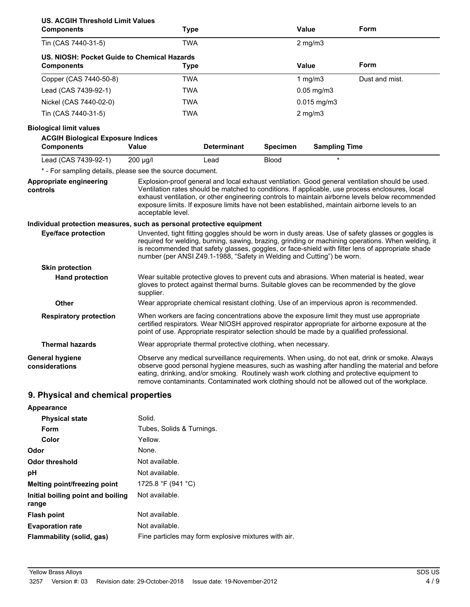| <b>US. ACGIH Threshold Limit Values</b><br><b>Components</b>          |                                                           | <b>Type</b>                                                                                |                 | <b>Value</b>         | Form                                                                                                                                                                                                                                                                                                                                                                                                    |
|-----------------------------------------------------------------------|-----------------------------------------------------------|--------------------------------------------------------------------------------------------|-----------------|----------------------|---------------------------------------------------------------------------------------------------------------------------------------------------------------------------------------------------------------------------------------------------------------------------------------------------------------------------------------------------------------------------------------------------------|
| Tin (CAS 7440-31-5)                                                   |                                                           | <b>TWA</b>                                                                                 |                 | $2$ mg/m $3$         |                                                                                                                                                                                                                                                                                                                                                                                                         |
| <b>Components</b>                                                     | US. NIOSH: Pocket Guide to Chemical Hazards               | <b>Type</b>                                                                                |                 | <b>Value</b>         | Form                                                                                                                                                                                                                                                                                                                                                                                                    |
| Copper (CAS 7440-50-8)                                                |                                                           | <b>TWA</b>                                                                                 |                 | 1 $mg/m3$            | Dust and mist.                                                                                                                                                                                                                                                                                                                                                                                          |
| Lead (CAS 7439-92-1)                                                  |                                                           | <b>TWA</b>                                                                                 |                 | $0.05$ mg/m $3$      |                                                                                                                                                                                                                                                                                                                                                                                                         |
| Nickel (CAS 7440-02-0)                                                |                                                           | <b>TWA</b>                                                                                 |                 | $0.015$ mg/m3        |                                                                                                                                                                                                                                                                                                                                                                                                         |
| Tin (CAS 7440-31-5)                                                   |                                                           | <b>TWA</b>                                                                                 |                 | $2$ mg/m $3$         |                                                                                                                                                                                                                                                                                                                                                                                                         |
| <b>Biological limit values</b>                                        |                                                           |                                                                                            |                 |                      |                                                                                                                                                                                                                                                                                                                                                                                                         |
| <b>ACGIH Biological Exposure Indices</b><br><b>Components</b>         | Value                                                     | <b>Determinant</b>                                                                         | <b>Specimen</b> | <b>Sampling Time</b> |                                                                                                                                                                                                                                                                                                                                                                                                         |
| Lead (CAS 7439-92-1)                                                  | 200 µg/l                                                  | Lead                                                                                       | <b>Blood</b>    |                      |                                                                                                                                                                                                                                                                                                                                                                                                         |
|                                                                       | * - For sampling details, please see the source document. |                                                                                            |                 |                      |                                                                                                                                                                                                                                                                                                                                                                                                         |
| Appropriate engineering<br>controls                                   | acceptable level.                                         |                                                                                            |                 |                      | Explosion-proof general and local exhaust ventilation. Good general ventilation should be used.<br>Ventilation rates should be matched to conditions. If applicable, use process enclosures, local<br>exhaust ventilation, or other engineering controls to maintain airborne levels below recommended<br>exposure limits. If exposure limits have not been established, maintain airborne levels to an |
| Individual protection measures, such as personal protective equipment |                                                           |                                                                                            |                 |                      |                                                                                                                                                                                                                                                                                                                                                                                                         |
| <b>Eye/face protection</b>                                            |                                                           | number (per ANSI Z49.1-1988, "Safety in Welding and Cutting") be worn.                     |                 |                      | Unvented, tight fitting goggles should be worn in dusty areas. Use of safety glasses or goggles is<br>required for welding, burning, sawing, brazing, grinding or machining operations. When welding, it<br>is recommended that safety glasses, goggles, or face-shield with filter lens of appropriate shade                                                                                           |
| <b>Skin protection</b>                                                |                                                           |                                                                                            |                 |                      |                                                                                                                                                                                                                                                                                                                                                                                                         |
| <b>Hand protection</b>                                                | supplier.                                                 | gloves to protect against thermal burns. Suitable gloves can be recommended by the glove   |                 |                      | Wear suitable protective gloves to prevent cuts and abrasions. When material is heated, wear                                                                                                                                                                                                                                                                                                            |
| <b>Other</b>                                                          |                                                           |                                                                                            |                 |                      | Wear appropriate chemical resistant clothing. Use of an impervious apron is recommended.                                                                                                                                                                                                                                                                                                                |
| <b>Respiratory protection</b>                                         |                                                           | point of use. Appropriate respirator selection should be made by a qualified professional. |                 |                      | When workers are facing concentrations above the exposure limit they must use appropriate<br>certified respirators. Wear NIOSH approved respirator appropriate for airborne exposure at the                                                                                                                                                                                                             |
| <b>Thermal hazards</b>                                                |                                                           | Wear appropriate thermal protective clothing, when necessary.                              |                 |                      |                                                                                                                                                                                                                                                                                                                                                                                                         |
| General hygiene<br>considerations                                     |                                                           |                                                                                            |                 |                      | Observe any medical surveillance requirements. When using, do not eat, drink or smoke. Always<br>observe good personal hygiene measures, such as washing after handling the material and before<br>eating, drinking, and/or smoking. Routinely wash work clothing and protective equipment to<br>remove contaminants. Contaminated work clothing should not be allowed out of the workplace.            |
| 9. Physical and chemical properties                                   |                                                           |                                                                                            |                 |                      |                                                                                                                                                                                                                                                                                                                                                                                                         |
| Appearance                                                            |                                                           |                                                                                            |                 |                      |                                                                                                                                                                                                                                                                                                                                                                                                         |
| Dhuaisel state                                                        | <b>Calid</b>                                              |                                                                                            |                 |                      |                                                                                                                                                                                                                                                                                                                                                                                                         |

| <b>Physical state</b>             | Solid.                                               |
|-----------------------------------|------------------------------------------------------|
| Form                              | Tubes, Solids & Turnings.                            |
| Color                             | Yellow.                                              |
| Odor                              | None.                                                |
| <b>Odor threshold</b>             | Not available.                                       |
| рH                                | Not available.                                       |
| Melting point/freezing point      | 1725.8 °F (941 °C)                                   |
| Initial boiling point and boiling | Not available.                                       |
| range                             |                                                      |
| <b>Flash point</b>                | Not available.                                       |
| <b>Evaporation rate</b>           | Not available.                                       |
| Flammability (solid, gas)         | Fine particles may form explosive mixtures with air. |
|                                   |                                                      |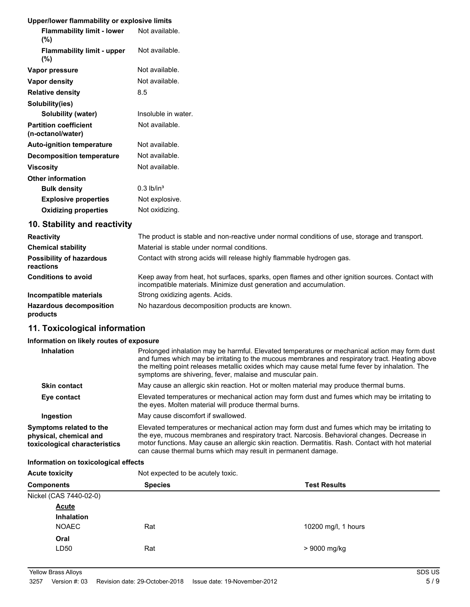## **Upper/lower flammability or explosive limits**

| <b>Opper/lower Hammability or explosive illilits</b> |                          |
|------------------------------------------------------|--------------------------|
| <b>Flammability limit - lower</b><br>$(\%)$          | Not available.           |
| <b>Flammability limit - upper</b><br>$(\%)$          | Not available.           |
| Vapor pressure                                       | Not available.           |
| Vapor density                                        | Not available.           |
| <b>Relative density</b>                              | 8.5                      |
| Solubility(ies)                                      |                          |
| Solubility (water)                                   | Insoluble in water.      |
| <b>Partition coefficient</b><br>(n-octanol/water)    | Not available.           |
| <b>Auto-ignition temperature</b>                     | Not available.           |
| <b>Decomposition temperature</b>                     | Not available.           |
| <b>Viscosity</b>                                     | Not available.           |
| <b>Other information</b>                             |                          |
| <b>Bulk density</b>                                  | $0.3$ lb/in <sup>3</sup> |
| <b>Explosive properties</b>                          | Not explosive.           |
| <b>Oxidizing properties</b>                          | Not oxidizing.           |
| 10. Stability and reactivity                         |                          |

| <b>Reactivity</b>                            | The product is stable and non-reactive under normal conditions of use, storage and transport.                                                                         |
|----------------------------------------------|-----------------------------------------------------------------------------------------------------------------------------------------------------------------------|
| <b>Chemical stability</b>                    | Material is stable under normal conditions.                                                                                                                           |
| <b>Possibility of hazardous</b><br>reactions | Contact with strong acids will release highly flammable hydrogen gas.                                                                                                 |
| <b>Conditions to avoid</b>                   | Keep away from heat, hot surfaces, sparks, open flames and other ignition sources. Contact with<br>incompatible materials. Minimize dust generation and accumulation. |
| Incompatible materials                       | Strong oxidizing agents. Acids.                                                                                                                                       |
| <b>Hazardous decomposition</b><br>products   | No hazardous decomposition products are known.                                                                                                                        |

## **11. Toxicological information**

## **Information on likely routes of exposure**

| Inhalation                                                                         | Prolonged inhalation may be harmful. Elevated temperatures or mechanical action may form dust<br>and fumes which may be irritating to the mucous membranes and respiratory tract. Heating above<br>the melting point releases metallic oxides which may cause metal fume fever by inhalation. The                                                                 |
|------------------------------------------------------------------------------------|-------------------------------------------------------------------------------------------------------------------------------------------------------------------------------------------------------------------------------------------------------------------------------------------------------------------------------------------------------------------|
|                                                                                    | symptoms are shivering, fever, malaise and muscular pain.                                                                                                                                                                                                                                                                                                         |
| <b>Skin contact</b>                                                                | May cause an allergic skin reaction. Hot or molten material may produce thermal burns.                                                                                                                                                                                                                                                                            |
| Eye contact                                                                        | Elevated temperatures or mechanical action may form dust and fumes which may be irritating to<br>the eyes. Molten material will produce thermal burns.                                                                                                                                                                                                            |
| Ingestion                                                                          | May cause discomfort if swallowed.                                                                                                                                                                                                                                                                                                                                |
| Symptoms related to the<br>physical, chemical and<br>toxicological characteristics | Elevated temperatures or mechanical action may form dust and fumes which may be irritating to<br>the eye, mucous membranes and respiratory tract. Narcosis. Behavioral changes. Decrease in<br>motor functions. May cause an allergic skin reaction. Dermatitis. Rash. Contact with hot material<br>can cause thermal burns which may result in permanent damage. |

#### **Information on toxicological effects**

| <b>Acute toxicity</b>  | Not expected to be acutely toxic. |                     |  |
|------------------------|-----------------------------------|---------------------|--|
| <b>Components</b>      | <b>Species</b>                    | <b>Test Results</b> |  |
| Nickel (CAS 7440-02-0) |                                   |                     |  |
| <b>Acute</b>           |                                   |                     |  |
| <b>Inhalation</b>      |                                   |                     |  |
| <b>NOAEC</b>           | Rat                               | 10200 mg/l, 1 hours |  |
| Oral                   |                                   |                     |  |
| LD50                   | Rat                               | > 9000 mg/kg        |  |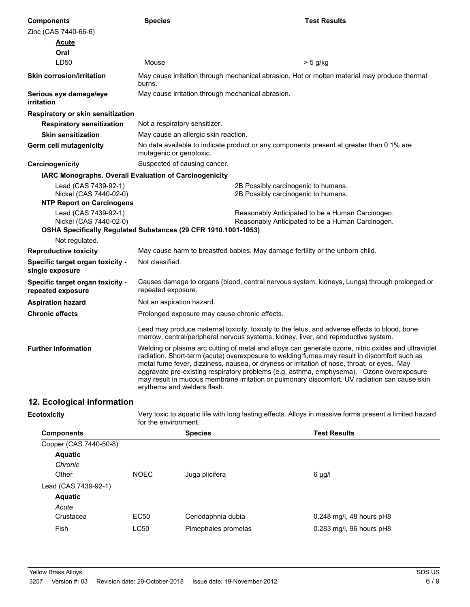| <b>Components</b>                                                                                                | <b>Species</b>                                | <b>Test Results</b>                                                                                                                                                                                                                                                                                                                                                                                                                                                                             |
|------------------------------------------------------------------------------------------------------------------|-----------------------------------------------|-------------------------------------------------------------------------------------------------------------------------------------------------------------------------------------------------------------------------------------------------------------------------------------------------------------------------------------------------------------------------------------------------------------------------------------------------------------------------------------------------|
| Zinc (CAS 7440-66-6)                                                                                             |                                               |                                                                                                                                                                                                                                                                                                                                                                                                                                                                                                 |
| <b>Acute</b>                                                                                                     |                                               |                                                                                                                                                                                                                                                                                                                                                                                                                                                                                                 |
| Oral                                                                                                             |                                               |                                                                                                                                                                                                                                                                                                                                                                                                                                                                                                 |
| LD50                                                                                                             | Mouse                                         | > 5 g/kg                                                                                                                                                                                                                                                                                                                                                                                                                                                                                        |
| <b>Skin corrosion/irritation</b>                                                                                 | burns.                                        | May cause irritation through mechanical abrasion. Hot or molten material may produce thermal                                                                                                                                                                                                                                                                                                                                                                                                    |
| Serious eye damage/eye<br>irritation                                                                             |                                               | May cause irritation through mechanical abrasion.                                                                                                                                                                                                                                                                                                                                                                                                                                               |
| Respiratory or skin sensitization                                                                                |                                               |                                                                                                                                                                                                                                                                                                                                                                                                                                                                                                 |
| <b>Respiratory sensitization</b>                                                                                 | Not a respiratory sensitizer.                 |                                                                                                                                                                                                                                                                                                                                                                                                                                                                                                 |
| <b>Skin sensitization</b>                                                                                        | May cause an allergic skin reaction.          |                                                                                                                                                                                                                                                                                                                                                                                                                                                                                                 |
| <b>Germ cell mutagenicity</b>                                                                                    | mutagenic or genotoxic.                       | No data available to indicate product or any components present at greater than 0.1% are                                                                                                                                                                                                                                                                                                                                                                                                        |
| Carcinogenicity                                                                                                  | Suspected of causing cancer.                  |                                                                                                                                                                                                                                                                                                                                                                                                                                                                                                 |
| IARC Monographs. Overall Evaluation of Carcinogenicity                                                           |                                               |                                                                                                                                                                                                                                                                                                                                                                                                                                                                                                 |
| Lead (CAS 7439-92-1)<br>Nickel (CAS 7440-02-0)<br><b>NTP Report on Carcinogens</b>                               |                                               | 2B Possibly carcinogenic to humans.<br>2B Possibly carcinogenic to humans.                                                                                                                                                                                                                                                                                                                                                                                                                      |
| Lead (CAS 7439-92-1)<br>Nickel (CAS 7440-02-0)<br>OSHA Specifically Regulated Substances (29 CFR 1910.1001-1053) |                                               | Reasonably Anticipated to be a Human Carcinogen.<br>Reasonably Anticipated to be a Human Carcinogen.                                                                                                                                                                                                                                                                                                                                                                                            |
| Not regulated.                                                                                                   |                                               |                                                                                                                                                                                                                                                                                                                                                                                                                                                                                                 |
| <b>Reproductive toxicity</b>                                                                                     |                                               | May cause harm to breastfed babies. May damage fertility or the unborn child.                                                                                                                                                                                                                                                                                                                                                                                                                   |
| Specific target organ toxicity -<br>single exposure                                                              | Not classified.                               |                                                                                                                                                                                                                                                                                                                                                                                                                                                                                                 |
| Specific target organ toxicity -<br>repeated exposure                                                            | repeated exposure.                            | Causes damage to organs (blood, central nervous system, kidneys, Lungs) through prolonged or                                                                                                                                                                                                                                                                                                                                                                                                    |
| <b>Aspiration hazard</b>                                                                                         | Not an aspiration hazard.                     |                                                                                                                                                                                                                                                                                                                                                                                                                                                                                                 |
| <b>Chronic effects</b>                                                                                           | Prolonged exposure may cause chronic effects. |                                                                                                                                                                                                                                                                                                                                                                                                                                                                                                 |
|                                                                                                                  |                                               | Lead may produce maternal toxicity, toxicity to the fetus, and adverse effects to blood, bone<br>marrow, central/peripheral nervous systems, kidney, liver, and reproductive system.                                                                                                                                                                                                                                                                                                            |
| <b>Further information</b>                                                                                       | erythema and welders flash.                   | Welding or plasma arc cutting of metal and alloys can generate ozone, nitric oxides and ultraviolet<br>radiation. Short-term (acute) overexposure to welding fumes may result in discomfort such as<br>metal fume fever, dizziness, nausea, or dryness or irritation of nose, throat, or eyes. May<br>aggravate pre-existing respiratory problems (e.g. asthma, emphysema). Ozone overexposure<br>may result in mucous membrane irritation or pulmonary discomfort. UV radiation can cause skin |

# **12. Ecological information**

**Ecotoxicity**

Very toxic to aquatic life with long lasting effects. Alloys in massive forms present a limited hazard for the environment.

| <b>Components</b>      |             | <b>Species</b>      | <b>Test Results</b>        |
|------------------------|-------------|---------------------|----------------------------|
| Copper (CAS 7440-50-8) |             |                     |                            |
| <b>Aquatic</b>         |             |                     |                            |
| Chronic                |             |                     |                            |
| Other                  | <b>NOEC</b> | Juga plicifera      | 6 µg/l                     |
| Lead (CAS 7439-92-1)   |             |                     |                            |
| <b>Aquatic</b>         |             |                     |                            |
| Acute                  |             |                     |                            |
| Crustacea              | EC50        | Ceriodaphnia dubia  | $0.248$ mg/l, 48 hours pH8 |
| Fish                   | <b>LC50</b> | Pimephales promelas | 0.283 mg/l, 96 hours pH8   |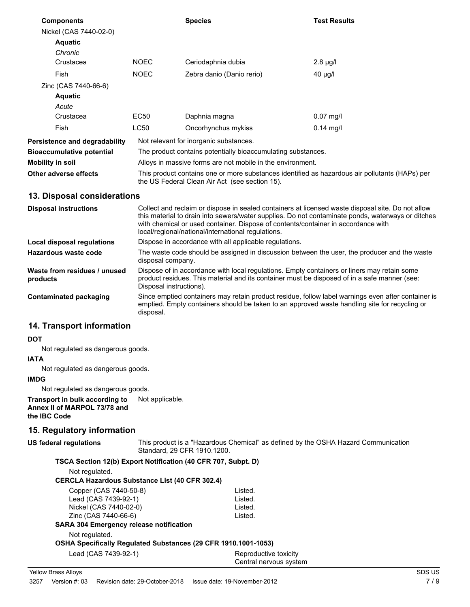| <b>Components</b>             |                                                                                                                                                  | <b>Species</b>                                               | <b>Test Results</b> |
|-------------------------------|--------------------------------------------------------------------------------------------------------------------------------------------------|--------------------------------------------------------------|---------------------|
| Nickel (CAS 7440-02-0)        |                                                                                                                                                  |                                                              |                     |
| <b>Aquatic</b>                |                                                                                                                                                  |                                                              |                     |
| Chronic                       |                                                                                                                                                  |                                                              |                     |
| Crustacea                     | <b>NOEC</b>                                                                                                                                      | Ceriodaphnia dubia                                           | $2.8 \mu g/l$       |
| Fish                          | <b>NOEC</b>                                                                                                                                      | Zebra danio (Danio rerio)                                    | $40 \mu g/l$        |
| Zinc (CAS 7440-66-6)          |                                                                                                                                                  |                                                              |                     |
| <b>Aquatic</b>                |                                                                                                                                                  |                                                              |                     |
| Acute                         |                                                                                                                                                  |                                                              |                     |
| Crustacea                     | EC50                                                                                                                                             | Daphnia magna                                                | $0.07$ mg/l         |
| Fish                          | <b>LC50</b>                                                                                                                                      | Oncorhynchus mykiss                                          | $0.14$ mg/l         |
| Persistence and degradability |                                                                                                                                                  | Not relevant for inorganic substances.                       |                     |
| Bioaccumulative potential     |                                                                                                                                                  | The product contains potentially bioaccumulating substances. |                     |
| Mobility in soil              | Alloys in massive forms are not mobile in the environment.                                                                                       |                                                              |                     |
| Other adverse effects         | This product contains one or more substances identified as hazardous air pollutants (HAPs) per<br>the US Federal Clean Air Act (see section 15). |                                                              |                     |

## **13. Disposal considerations**

| <b>Disposal instructions</b>             | Collect and reclaim or dispose in sealed containers at licensed waste disposal site. Do not allow<br>this material to drain into sewers/water supplies. Do not contaminate ponds, waterways or ditches<br>with chemical or used container. Dispose of contents/container in accordance with<br>local/regional/national/international regulations. |
|------------------------------------------|---------------------------------------------------------------------------------------------------------------------------------------------------------------------------------------------------------------------------------------------------------------------------------------------------------------------------------------------------|
| Local disposal regulations               | Dispose in accordance with all applicable regulations.                                                                                                                                                                                                                                                                                            |
| Hazardous waste code                     | The waste code should be assigned in discussion between the user, the producer and the waste<br>disposal company.                                                                                                                                                                                                                                 |
| Waste from residues / unused<br>products | Dispose of in accordance with local regulations. Empty containers or liners may retain some<br>product residues. This material and its container must be disposed of in a safe manner (see:<br>Disposal instructions).                                                                                                                            |
| Contaminated packaging                   | Since emptied containers may retain product residue, follow label warnings even after container is<br>emptied. Empty containers should be taken to an approved waste handling site for recycling or<br>disposal.                                                                                                                                  |

## **14. Transport information**

#### **DOT**

Not regulated as dangerous goods.

#### **IATA**

Not regulated as dangerous goods.

## **IMDG**

Not regulated as dangerous goods.

**Transport in bulk according to** Not applicable. **Annex II of MARPOL 73/78 and the IBC Code**

## **15. Regulatory information**

## **US federal regulations**

This product is a "Hazardous Chemical" as defined by the OSHA Hazard Communication Standard, 29 CFR 1910.1200.

#### **TSCA Section 12(b) Export Notification (40 CFR 707, Subpt. D)**

Not regulated.

#### **CERCLA Hazardous Substance List (40 CFR 302.4)**

| Copper (CAS 7440-50-8)                                         | Listed. |
|----------------------------------------------------------------|---------|
| Lead (CAS 7439-92-1)                                           | Listed. |
| Nickel (CAS 7440-02-0)                                         | Listed. |
| Zinc (CAS 7440-66-6)                                           | Listed. |
| <b>SARA 304 Emergency release notification</b>                 |         |
| Not regulated.                                                 |         |
| OSHA Specifically Regulated Substances (29 CFR 1910.1001-1053) |         |

Lead (CAS 7439-92-1) Reproductive toxicity Central nervous system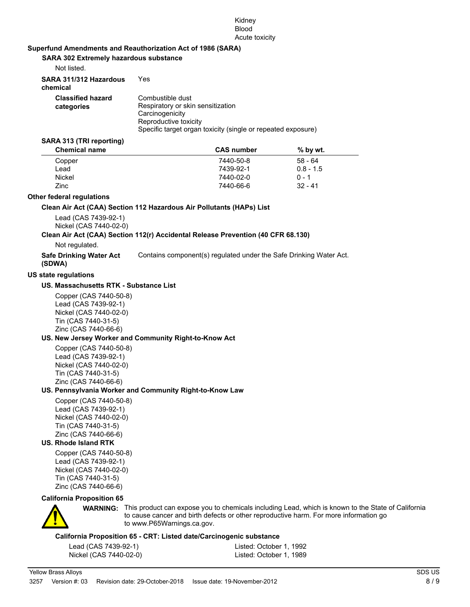#### Kidney Blood Acute toxicity

#### **Superfund Amendments and Reauthorization Act of 1986 (SARA)**

**SARA 302 Extremely hazardous substance**

| Not listed.                            |                                                                                                                                                                   |
|----------------------------------------|-------------------------------------------------------------------------------------------------------------------------------------------------------------------|
| SARA 311/312 Hazardous<br>chemical     | Yes                                                                                                                                                               |
| <b>Classified hazard</b><br>categories | Combustible dust<br>Respiratory or skin sensitization<br>Carcinogenicity<br>Reproductive toxicity<br>Specific target organ toxicity (single or repeated exposure) |

#### **SARA 313 (TRI reporting)**

| <b>Chemical name</b> | <b>CAS</b> number | $%$ by wt.  |  |
|----------------------|-------------------|-------------|--|
| Copper               | 7440-50-8         | $58 - 64$   |  |
| Lead                 | 7439-92-1         | $0.8 - 1.5$ |  |
| <b>Nickel</b>        | 7440-02-0         | $0 - 1$     |  |
| Zinc                 | 7440-66-6         | $32 - 41$   |  |

#### **Other federal regulations**

#### **Clean Air Act (CAA) Section 112 Hazardous Air Pollutants (HAPs) List**

Lead (CAS 7439-92-1) Nickel (CAS 7440-02-0)

#### **Clean Air Act (CAA) Section 112(r) Accidental Release Prevention (40 CFR 68.130)**

Not regulated.

**Safe Drinking Water Act** Contains component(s) regulated under the Safe Drinking Water Act. **(SDWA)**

#### **US state regulations**

#### **US. Massachusetts RTK - Substance List**

Copper (CAS 7440-50-8) Lead (CAS 7439-92-1) Nickel (CAS 7440-02-0) Tin (CAS 7440-31-5) Zinc (CAS 7440-66-6)

#### **US. New Jersey Worker and Community Right-to-Know Act**

Copper (CAS 7440-50-8) Lead (CAS 7439-92-1) Nickel (CAS 7440-02-0) Tin (CAS 7440-31-5) Zinc (CAS 7440-66-6)

#### **US. Pennsylvania Worker and Community Right-to-Know Law**

Copper (CAS 7440-50-8) Lead (CAS 7439-92-1) Nickel (CAS 7440-02-0) Tin (CAS 7440-31-5) Zinc (CAS 7440-66-6)

#### **US. Rhode Island RTK**

Copper (CAS 7440-50-8) Lead (CAS 7439-92-1) Nickel (CAS 7440-02-0) Tin (CAS 7440-31-5) Zinc (CAS 7440-66-6)

#### **California Proposition 65**



**WARNING:** This product can expose you to chemicals including Lead, which is known to the State of California to cause cancer and birth defects or other reproductive harm. For more information go to www.P65Warnings.ca.gov.

#### **California Proposition 65 - CRT: Listed date/Carcinogenic substance**

| Lead (CAS 7439-92-1)   | Listed: October 1, 1992 |
|------------------------|-------------------------|
| Nickel (CAS 7440-02-0) | Listed: October 1, 1989 |